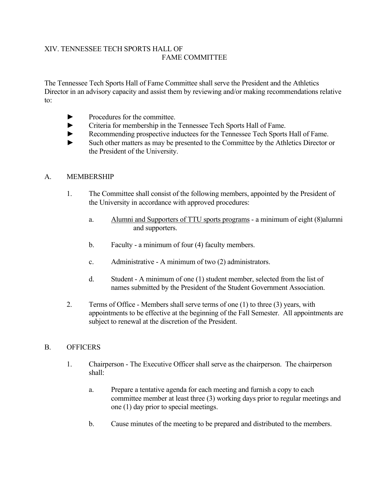### XIV. TENNESSEE TECH SPORTS HALL OF FAME COMMITTEE

The Tennessee Tech Sports Hall of Fame Committee shall serve the President and the Athletics Director in an advisory capacity and assist them by reviewing and/or making recommendations relative to:

- ► Procedures for the committee.
- ► Criteria for membership in the Tennessee Tech Sports Hall of Fame.
- ► Recommending prospective inductees for the Tennessee Tech Sports Hall of Fame.
- ► Such other matters as may be presented to the Committee by the Athletics Director or the President of the University.

## A. MEMBERSHIP

- 1. The Committee shall consist of the following members, appointed by the President of the University in accordance with approved procedures:
	- a. Alumni and Supporters of TTU sports programs a minimum of eight (8)alumni and supporters.
	- b. Faculty a minimum of four (4) faculty members.
	- c. Administrative A minimum of two (2) administrators.
	- d. Student A minimum of one (1) student member, selected from the list of names submitted by the President of the Student Government Association.
- 2. Terms of Office Members shall serve terms of one (1) to three (3) years, with appointments to be effective at the beginning of the Fall Semester. All appointments are subject to renewal at the discretion of the President.

### B. OFFICERS

- 1. Chairperson The Executive Officer shall serve as the chairperson. The chairperson shall:
	- a. Prepare a tentative agenda for each meeting and furnish a copy to each committee member at least three (3) working days prior to regular meetings and one (1) day prior to special meetings.
	- b. Cause minutes of the meeting to be prepared and distributed to the members.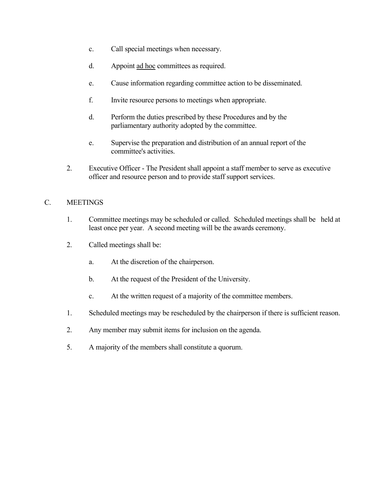- c. Call special meetings when necessary.
- d. Appoint ad hoc committees as required.
- e. Cause information regarding committee action to be disseminated.
- f. Invite resource persons to meetings when appropriate.
- d. Perform the duties prescribed by these Procedures and by the parliamentary authority adopted by the committee.
- e. Supervise the preparation and distribution of an annual report of the committee's activities.
- 2. Executive Officer The President shall appoint a staff member to serve as executive officer and resource person and to provide staff support services.

#### C. MEETINGS

- 1. Committee meetings may be scheduled or called. Scheduled meetings shall be held at least once per year. A second meeting will be the awards ceremony.
- 2. Called meetings shall be:
	- a. At the discretion of the chairperson.
	- b. At the request of the President of the University.
	- c. At the written request of a majority of the committee members.
- 1. Scheduled meetings may be rescheduled by the chairperson if there is sufficient reason.
- 2. Any member may submit items for inclusion on the agenda.
- 5. A majority of the members shall constitute a quorum.